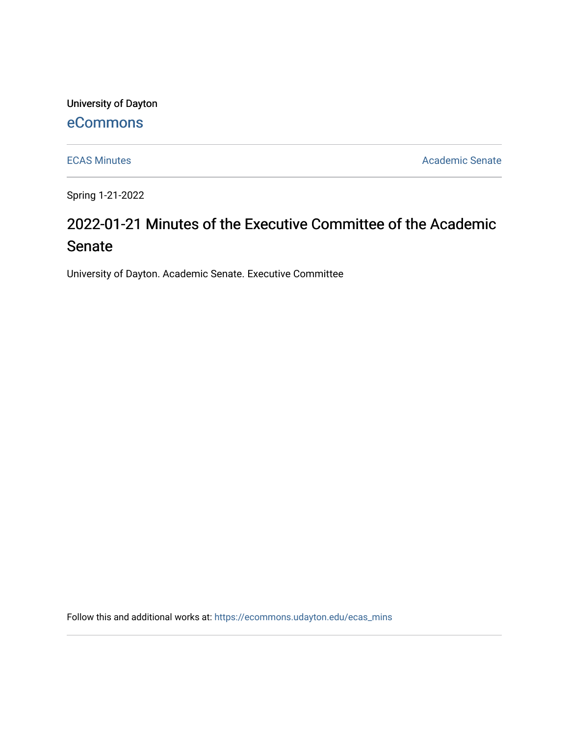University of Dayton [eCommons](https://ecommons.udayton.edu/)

[ECAS Minutes](https://ecommons.udayton.edu/ecas_mins) **Academic Senate** 

Spring 1-21-2022

# 2022-01-21 Minutes of the Executive Committee of the Academic Senate

University of Dayton. Academic Senate. Executive Committee

Follow this and additional works at: [https://ecommons.udayton.edu/ecas\\_mins](https://ecommons.udayton.edu/ecas_mins?utm_source=ecommons.udayton.edu%2Fecas_mins%2F544&utm_medium=PDF&utm_campaign=PDFCoverPages)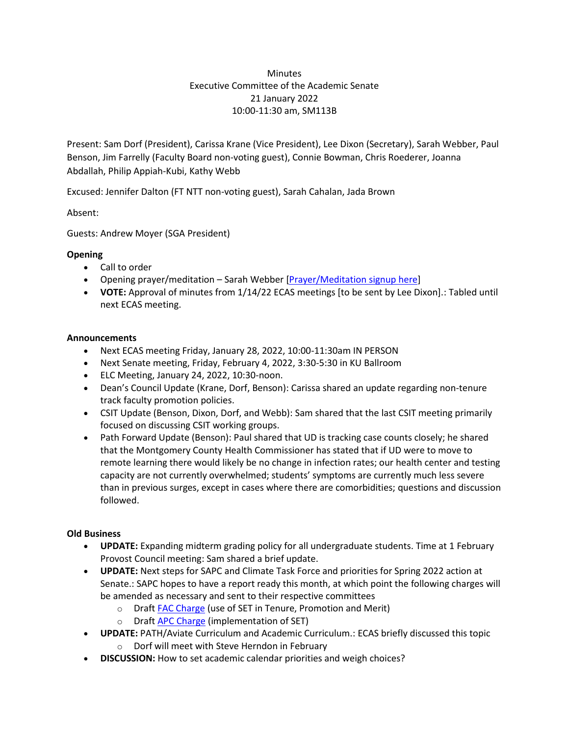## **Minutes** Executive Committee of the Academic Senate 21 January 2022 10:00-11:30 am, SM113B

Present: Sam Dorf (President), Carissa Krane (Vice President), Lee Dixon (Secretary), Sarah Webber, Paul Benson, Jim Farrelly (Faculty Board non-voting guest), Connie Bowman, Chris Roederer, Joanna Abdallah, Philip Appiah-Kubi, Kathy Webb

Excused: Jennifer Dalton (FT NTT non-voting guest), Sarah Cahalan, Jada Brown

Absent:

Guests: Andrew Moyer (SGA President)

## **Opening**

- Call to order
- Opening prayer/meditation Sarah Webber [\[Prayer/Meditation signup here\]](https://docs.google.com/document/d/1Say8mwTU7gLV_4XTtxgnfhOrTL-r7Z3r/edit?usp=sharing&ouid=114374222774523335638&rtpof=true&sd=true)
- **VOTE:** Approval of minutes from 1/14/22 ECAS meetings [to be sent by Lee Dixon].: Tabled until next ECAS meeting.

#### **Announcements**

- Next ECAS meeting Friday, January 28, 2022, 10:00-11:30am IN PERSON
- Next Senate meeting, Friday, February 4, 2022, 3:30-5:30 in KU Ballroom
- ELC Meeting, January 24, 2022, 10:30-noon.
- Dean's Council Update (Krane, Dorf, Benson): Carissa shared an update regarding non-tenure track faculty promotion policies.
- CSIT Update (Benson, Dixon, Dorf, and Webb): Sam shared that the last CSIT meeting primarily focused on discussing CSIT working groups.
- Path Forward Update (Benson): Paul shared that UD is tracking case counts closely; he shared that the Montgomery County Health Commissioner has stated that if UD were to move to remote learning there would likely be no change in infection rates; our health center and testing capacity are not currently overwhelmed; students' symptoms are currently much less severe than in previous surges, except in cases where there are comorbidities; questions and discussion followed.

#### **Old Business**

- **UPDATE:** Expanding midterm grading policy for all undergraduate students. Time at 1 February Provost Council meeting: Sam shared a brief update.
- **UPDATE:** Next steps for SAPC and Climate Task Force and priorities for Spring 2022 action at Senate.: SAPC hopes to have a report ready this month, at which point the following charges will be amended as necessary and sent to their respective committees
	- o Draf[t FAC Charge](https://docs.google.com/document/d/1PzGQu7-xyTrK8TsjKdLmCeKxVWh3bEQXt3vtuS0dVGY/edit?usp=sharing) (use of SET in Tenure, Promotion and Merit)
	- o Draf[t APC Charge](https://docs.google.com/document/d/1bxZWtPFrGLX7lWEvgpc0avTWRR8xPTLjvQLwT1RqsXw/edit?usp=sharing) (implementation of SET)
- **UPDATE:** PATH/Aviate Curriculum and Academic Curriculum.: ECAS briefly discussed this topic o Dorf will meet with Steve Herndon in February
- **DISCUSSION:** How to set academic calendar priorities and weigh choices?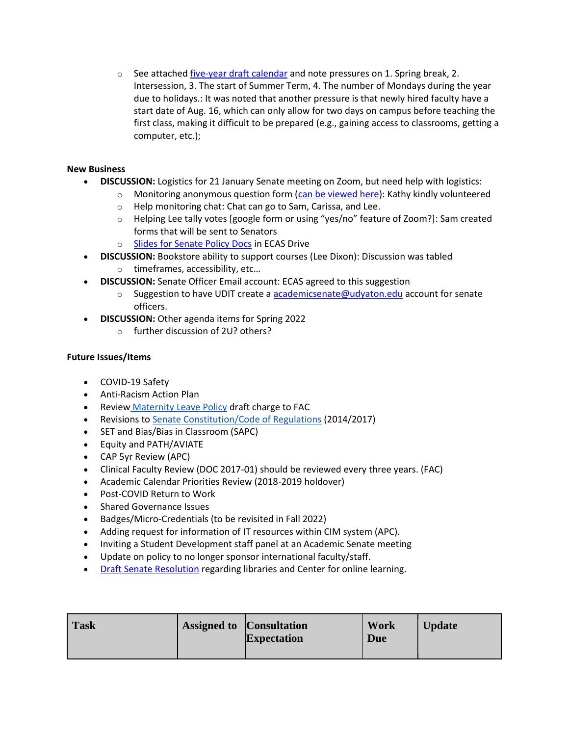$\circ$  See attache[d five-year draft calendar](https://docs.google.com/document/d/1ojDdjaqpzpwpbLNoIIcW590M-HJu_EaQ/edit?usp=sharing&ouid=114374222774523335638&rtpof=true&sd=true) and note pressures on 1. Spring break, 2. Intersession, 3. The start of Summer Term, 4. The number of Mondays during the year due to holidays.: It was noted that another pressure is that newly hired faculty have a start date of Aug. 16, which can only allow for two days on campus before teaching the first class, making it difficult to be prepared (e.g., gaining access to classrooms, getting a computer, etc.);

## **New Business**

- **DISCUSSION:** Logistics for 21 January Senate meeting on Zoom, but need help with logistics:
	- $\circ$  Monitoring anonymous question form [\(can be viewed here\)](https://docs.google.com/spreadsheets/d/1-Xnj6E6F97CttvpiW-2LA-6hdBCcW3_josqnwIIQvwk/edit?usp=sharing): Kathy kindly volunteered
		- o Help monitoring chat: Chat can go to Sam, Carissa, and Lee.
		- o Helping Lee tally votes [google form or using "yes/no" feature of Zoom?]: Sam created forms that will be sent to Senators
		- o [Slides for Senate Policy Docs](https://docs.google.com/presentation/d/15qToE0SiHUgmX6TPW4Vp9xzktx29SpTg/edit?usp=sharing&ouid=114374222774523335638&rtpof=true&sd=true) in ECAS Drive
- **DISCUSSION:** Bookstore ability to support courses (Lee Dixon): Discussion was tabled
	- o timeframes, accessibility, etc…
- **DISCUSSION:** Senate Officer Email account: ECAS agreed to this suggestion
	- $\circ$  Suggestion to have UDIT create a academicsenate @udyaton.edu account for senate officers.
- **DISCUSSION:** Other agenda items for Spring 2022
	- o further discussion of 2U? others?

#### **Future Issues/Items**

- COVID-19 Safety
- Anti-Racism Action Plan
- Review [Maternity Leave Policy](https://ecommons.udayton.edu/cgi/viewcontent.cgi?article=1038&context=senate_docs) draft charge to FAC
- Revisions to [Senate Constitution/Code of Regulations](https://drive.google.com/file/d/1FE4HIp5nKgfgFEpzkthtUeF-u_54WgeA/view?usp=sharing) (2014/2017)
- SET and Bias/Bias in Classroom (SAPC)
- Equity and PATH/AVIATE
- CAP 5yr Review (APC)
- Clinical Faculty Review (DOC 2017-01) should be reviewed every three years. (FAC)
- Academic Calendar Priorities Review (2018-2019 holdover)
- Post-COVID Return to Work
- Shared Governance Issues
- Badges/Micro-Credentials (to be revisited in Fall 2022)
- Adding request for information of IT resources within CIM system (APC).
- Inviting a Student Development staff panel at an Academic Senate meeting
- Update on policy to no longer sponsor international faculty/staff.
- [Draft Senate](https://docs.google.com/document/d/1xjJPkvF1RwPx6ox_v4-haphE0rYF4g6j/edit?usp=sharing&ouid=114374222774523335638&rtpof=true&sd=true) Resolution regarding libraries and Center for online learning.

| <b>Task</b> | <b>Assigned to Consultation</b> | <b>Expectation</b> | Work<br>Due | <b>Update</b> |
|-------------|---------------------------------|--------------------|-------------|---------------|
|             |                                 |                    |             |               |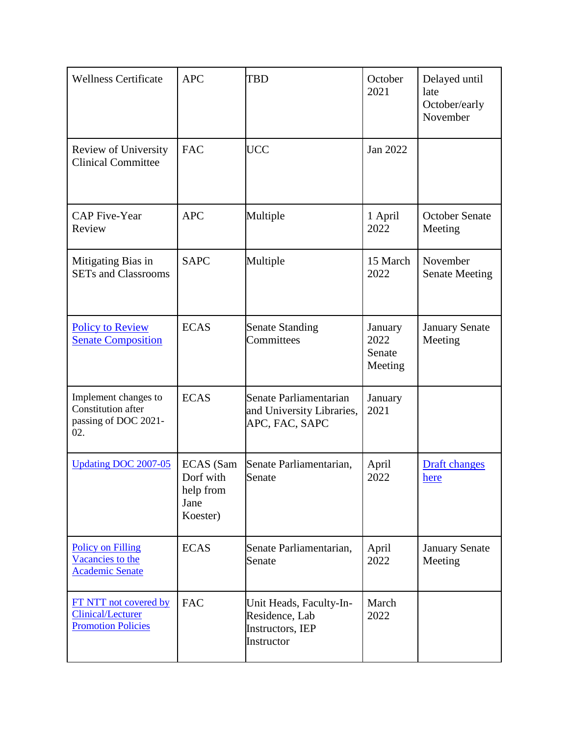| <b>Wellness Certificate</b>                                                    | <b>APC</b>                                                     | <b>TBD</b>                                                                  | October<br>2021                      | Delayed until<br>late<br>October/early<br>November |
|--------------------------------------------------------------------------------|----------------------------------------------------------------|-----------------------------------------------------------------------------|--------------------------------------|----------------------------------------------------|
| Review of University<br><b>Clinical Committee</b>                              | <b>FAC</b>                                                     | <b>UCC</b>                                                                  | Jan 2022                             |                                                    |
| <b>CAP</b> Five-Year<br>Review                                                 | <b>APC</b>                                                     | Multiple                                                                    | 1 April<br>2022                      | <b>October Senate</b><br>Meeting                   |
| Mitigating Bias in<br><b>SETs and Classrooms</b>                               | <b>SAPC</b>                                                    | Multiple                                                                    | 15 March<br>2022                     | November<br><b>Senate Meeting</b>                  |
| <b>Policy to Review</b><br><b>Senate Composition</b>                           | <b>ECAS</b>                                                    | <b>Senate Standing</b><br>Committees                                        | January<br>2022<br>Senate<br>Meeting | <b>January Senate</b><br>Meeting                   |
| Implement changes to<br>Constitution after<br>passing of DOC 2021-<br>02.      | <b>ECAS</b>                                                    | Senate Parliamentarian<br>and University Libraries,<br>APC, FAC, SAPC       | January<br>2021                      |                                                    |
| <b>Updating DOC 2007-05</b>                                                    | <b>ECAS</b> (Sam<br>Dorf with<br>help from<br>Jane<br>Koester) | Senate Parliamentarian,<br>Senate                                           | April<br>2022                        | <b>Draft</b> changes<br>here                       |
| <b>Policy on Filling</b><br>Vacancies to the<br><b>Academic Senate</b>         | <b>ECAS</b>                                                    | Senate Parliamentarian,<br>Senate                                           | April<br>2022                        | <b>January Senate</b><br>Meeting                   |
| FT NTT not covered by<br><b>Clinical/Lecturer</b><br><b>Promotion Policies</b> | <b>FAC</b>                                                     | Unit Heads, Faculty-In-<br>Residence, Lab<br>Instructors, IEP<br>Instructor | March<br>2022                        |                                                    |